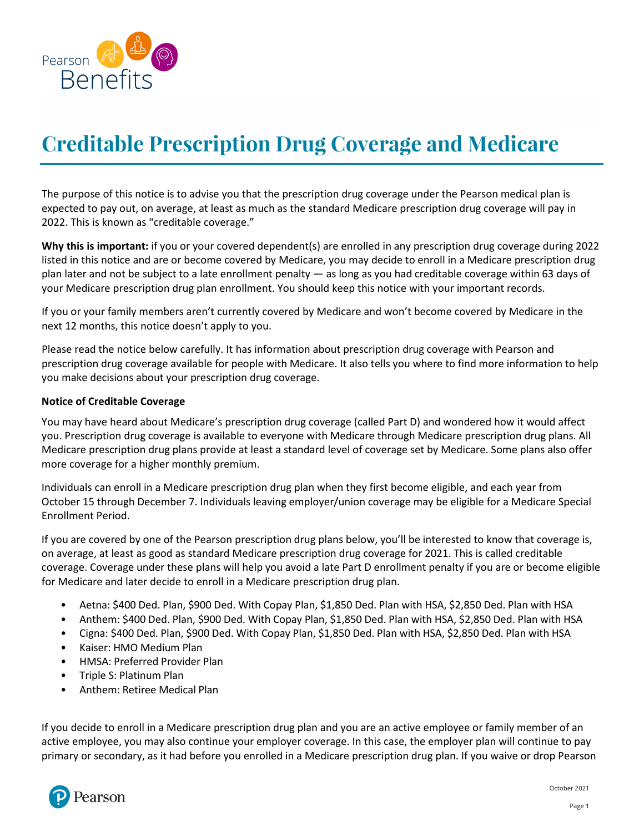

## **Creditable Prescription Drug Coverage and Medicare**

The purpose of this notice is to advise you that the prescription drug coverage under the Pearson medical plan is expected to pay out, on average, at least as much as the standard Medicare prescription drug coverage will pay in 2022. This is known as "creditable coverage."

**Why this is important:** if you or your covered dependent(s) are enrolled in any prescription drug coverage during 2022 listed in this notice and are or become covered by Medicare, you may decide to enroll in a Medicare prescription drug plan later and not be subject to a late enrollment penalty — as long as you had creditable coverage within 63 days of your Medicare prescription drug plan enrollment. You should keep this notice with your important records.

If you or your family members aren't currently covered by Medicare and won't become covered by Medicare in the next 12 months, this notice doesn't apply to you.

Please read the notice below carefully. It has information about prescription drug coverage with Pearson and prescription drug coverage available for people with Medicare. It also tells you where to find more information to help you make decisions about your prescription drug coverage.

## **Notice of Creditable Coverage**

You may have heard about Medicare's prescription drug coverage (called Part D) and wondered how it would affect you. Prescription drug coverage is available to everyone with Medicare through Medicare prescription drug plans. All Medicare prescription drug plans provide at least a standard level of coverage set by Medicare. Some plans also offer more coverage for a higher monthly premium.

Individuals can enroll in a Medicare prescription drug plan when they first become eligible, and each year from October 15 through December 7. Individuals leaving employer/union coverage may be eligible for a Medicare Special Enrollment Period.

If you are covered by one of the Pearson prescription drug plans below, you'll be interested to know that coverage is, on average, at least as good as standard Medicare prescription drug coverage for 2021. This is called creditable coverage. Coverage under these plans will help you avoid a late Part D enrollment penalty if you are or become eligible for Medicare and later decide to enroll in a Medicare prescription drug plan.

- Aetna: \$400 Ded. Plan, \$900 Ded. With Copay Plan, \$1,850 Ded. Plan with HSA, \$2,850 Ded. Plan with HSA
- Anthem: \$400 Ded. Plan, \$900 Ded. With Copay Plan, \$1,850 Ded. Plan with HSA, \$2,850 Ded. Plan with HSA
- Cigna: \$400 Ded. Plan, \$900 Ded. With Copay Plan, \$1,850 Ded. Plan with HSA, \$2,850 Ded. Plan with HSA
- Kaiser: HMO Medium Plan
- HMSA: Preferred Provider Plan
- Triple S: Platinum Plan
- Anthem: Retiree Medical Plan

If you decide to enroll in a Medicare prescription drug plan and you are an active employee or family member of an active employee, you may also continue your employer coverage. In this case, the employer plan will continue to pay primary or secondary, as it had before you enrolled in a Medicare prescription drug plan. If you waive or drop Pearson